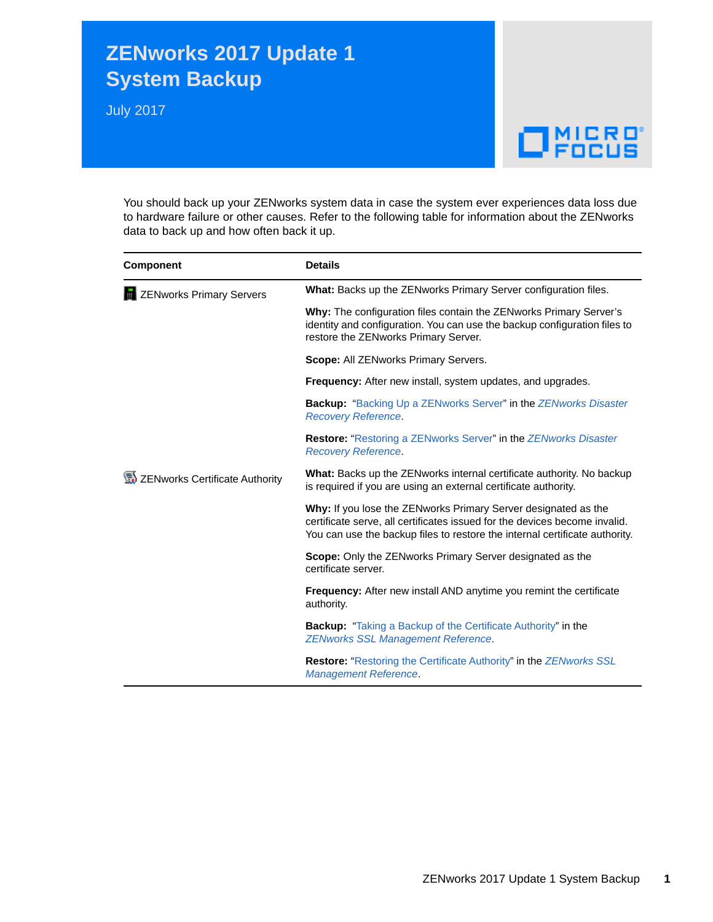## **ZENworks 2017 Update 1 System Backup**

July 2017

## $\Box$ MICRO

You should back up your ZENworks system data in case the system ever experiences data loss due to hardware failure or other causes. Refer to the following table for information about the ZENworks data to back up and how often back it up.

| <b>Component</b>               | <b>Details</b>                                                                                                                                                                                                              |
|--------------------------------|-----------------------------------------------------------------------------------------------------------------------------------------------------------------------------------------------------------------------------|
| ZENworks Primary Servers       | What: Backs up the ZENworks Primary Server configuration files.                                                                                                                                                             |
|                                | Why: The configuration files contain the ZENworks Primary Server's<br>identity and configuration. You can use the backup configuration files to<br>restore the ZENworks Primary Server.                                     |
|                                | Scope: All ZENworks Primary Servers.                                                                                                                                                                                        |
|                                | <b>Frequency:</b> After new install, system updates, and upgrades.                                                                                                                                                          |
|                                | <b>Backup:</b> "Backing Up a ZENworks Server" in the ZENworks Disaster<br><b>Recovery Reference.</b>                                                                                                                        |
|                                | Restore: "Restoring a ZENworks Server" in the ZENworks Disaster<br><b>Recovery Reference.</b>                                                                                                                               |
| ZENworks Certificate Authority | What: Backs up the ZENworks internal certificate authority. No backup<br>is required if you are using an external certificate authority.                                                                                    |
|                                | Why: If you lose the ZENworks Primary Server designated as the<br>certificate serve, all certificates issued for the devices become invalid.<br>You can use the backup files to restore the internal certificate authority. |
|                                | <b>Scope:</b> Only the ZENworks Primary Server designated as the<br>certificate server.                                                                                                                                     |
|                                | Frequency: After new install AND anytime you remint the certificate<br>authority.                                                                                                                                           |
|                                | <b>Backup:</b> "Taking a Backup of the Certificate Authority" in the<br><b>ZENworks SSL Management Reference.</b>                                                                                                           |
|                                | <b>Restore:</b> "Restoring the Certificate Authority" in the <b>ZENworks SSL</b><br><b>Management Reference</b>                                                                                                             |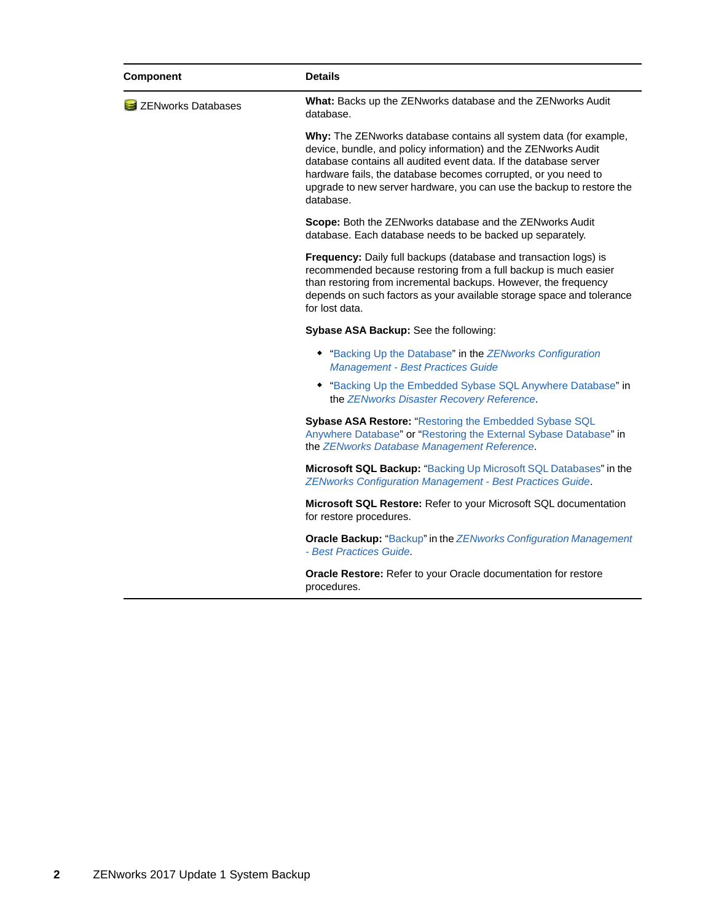| Component          | <b>Details</b>                                                                                                                                                                                                                                                                                                                                                  |
|--------------------|-----------------------------------------------------------------------------------------------------------------------------------------------------------------------------------------------------------------------------------------------------------------------------------------------------------------------------------------------------------------|
| ZENworks Databases | What: Backs up the ZENworks database and the ZENworks Audit<br>database.                                                                                                                                                                                                                                                                                        |
|                    | Why: The ZENworks database contains all system data (for example,<br>device, bundle, and policy information) and the ZENworks Audit<br>database contains all audited event data. If the database server<br>hardware fails, the database becomes corrupted, or you need to<br>upgrade to new server hardware, you can use the backup to restore the<br>database. |
|                    | Scope: Both the ZENworks database and the ZENworks Audit<br>database. Each database needs to be backed up separately.                                                                                                                                                                                                                                           |
|                    | Frequency: Daily full backups (database and transaction logs) is<br>recommended because restoring from a full backup is much easier<br>than restoring from incremental backups. However, the frequency<br>depends on such factors as your available storage space and tolerance<br>for lost data.                                                               |
|                    | Sybase ASA Backup: See the following:                                                                                                                                                                                                                                                                                                                           |
|                    | • "Backing Up the Database" in the ZENworks Configuration<br><b>Management - Best Practices Guide</b>                                                                                                                                                                                                                                                           |
|                    | • "Backing Up the Embedded Sybase SQL Anywhere Database" in<br>the ZENworks Disaster Recovery Reference.                                                                                                                                                                                                                                                        |
|                    | Sybase ASA Restore: "Restoring the Embedded Sybase SQL<br>Anywhere Database" or "Restoring the External Sybase Database" in<br>the ZENworks Database Management Reference.                                                                                                                                                                                      |
|                    | Microsoft SQL Backup: "Backing Up Microsoft SQL Databases" in the<br><b>ZENworks Configuration Management - Best Practices Guide.</b>                                                                                                                                                                                                                           |
|                    | Microsoft SQL Restore: Refer to your Microsoft SQL documentation<br>for restore procedures.                                                                                                                                                                                                                                                                     |
|                    | <b>Oracle Backup:</b> "Backup" in the ZENworks Configuration Management<br>- Best Practices Guide.                                                                                                                                                                                                                                                              |
|                    | <b>Oracle Restore:</b> Refer to your Oracle documentation for restore<br>procedures.                                                                                                                                                                                                                                                                            |